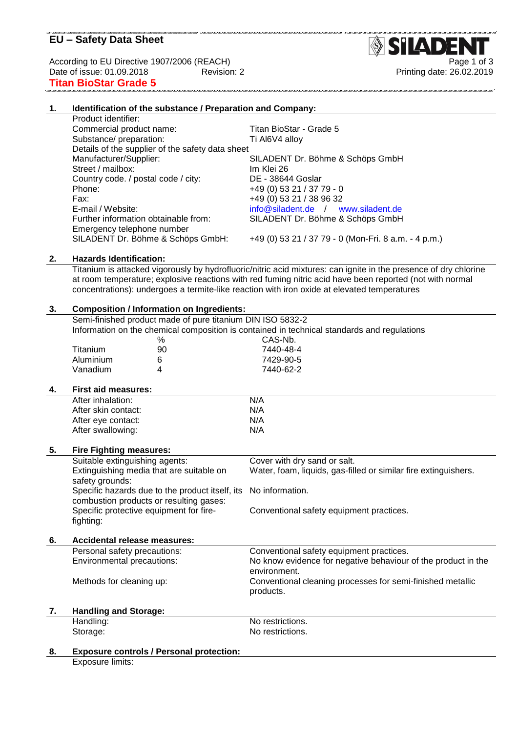# **EU – Safety Data Sheet**

According to EU Directive 1907/2006 (REACH)<br>Date of issue: 01.09.2018 Page 1 of 3<br>Printing date: 26.02.2019 **Titan BioStar Grade 5**

## **1. Identification of the substance / Preparation and Company:**

Product identifier: Commercial product name: Titan BioStar - Grade 5 Substance/ preparation: Ti Al6V4 alloy Details of the supplier of the safety data sheet Manufacturer/Supplier: SILADENT Dr. Böhme & Schöps GmbH Street / mailbox: Im Klei 26 Country code. / postal code / city: DE - 38644 Goslar Phone: +49 (0) 53 21 / 37 79 - 0 Fax: E-mail / Website: Further information obtainable from: SILADENT Dr. Böhme & Schöps GmbH Emergency telephone number SILADENT Dr. Böhme & Schöps GmbH: +49 (0) 53 21 / 37 79 - 0 (Mon-Fri. 8 a.m. - 4 p.m.)

+49 (0) 53 21 / 38 96 32 [info@siladent.de](mailto:info@siladent.de) / [www.siladent.de](http://www.siladent.de/)

#### **2. Hazards Identification:**

Titanium is attacked vigorously by hydrofluoric/nitric acid mixtures: can ignite in the presence of dry chlorine at room temperature; explosive reactions with red fuming nitric acid have been reported (not with normal concentrations): undergoes a termite-like reaction with iron oxide at elevated temperatures

| 3. | <b>Composition / Information on Ingredients:</b>                                            |                                                 |                                                                 |  |
|----|---------------------------------------------------------------------------------------------|-------------------------------------------------|-----------------------------------------------------------------|--|
|    | Semi-finished product made of pure titanium DIN ISO 5832-2                                  |                                                 |                                                                 |  |
|    | Information on the chemical composition is contained in technical standards and regulations |                                                 |                                                                 |  |
|    |                                                                                             | %                                               | CAS-Nb.                                                         |  |
|    | Titanium                                                                                    | 90                                              | 7440-48-4                                                       |  |
|    | Aluminium                                                                                   | 6                                               | 7429-90-5                                                       |  |
|    | Vanadium                                                                                    | 4                                               | 7440-62-2                                                       |  |
| 4. | <b>First aid measures:</b>                                                                  |                                                 |                                                                 |  |
|    | After inhalation:                                                                           |                                                 | N/A                                                             |  |
|    | After skin contact:                                                                         |                                                 | N/A                                                             |  |
|    | After eye contact:                                                                          |                                                 | N/A                                                             |  |
|    | After swallowing:                                                                           |                                                 | N/A                                                             |  |
| 5. | <b>Fire Fighting measures:</b>                                                              |                                                 |                                                                 |  |
|    | Suitable extinguishing agents:                                                              |                                                 | Cover with dry sand or salt.                                    |  |
|    | Extinguishing media that are suitable on                                                    |                                                 | Water, foam, liquids, gas-filled or similar fire extinguishers. |  |
|    | safety grounds:                                                                             |                                                 |                                                                 |  |
|    | Specific hazards due to the product itself, its                                             |                                                 | No information.                                                 |  |
|    | combustion products or resulting gases:                                                     |                                                 |                                                                 |  |
|    | Specific protective equipment for fire-                                                     |                                                 | Conventional safety equipment practices.                        |  |
|    | fighting:                                                                                   |                                                 |                                                                 |  |
| 6. | Accidental release measures:                                                                |                                                 |                                                                 |  |
|    | Personal safety precautions:                                                                |                                                 | Conventional safety equipment practices.                        |  |
|    | Environmental precautions:                                                                  |                                                 | No know evidence for negative behaviour of the product in the   |  |
|    |                                                                                             |                                                 | environment.                                                    |  |
|    | Methods for cleaning up:                                                                    |                                                 | Conventional cleaning processes for semi-finished metallic      |  |
|    |                                                                                             |                                                 | products.                                                       |  |
| 7. | <b>Handling and Storage:</b>                                                                |                                                 |                                                                 |  |
|    | Handling:                                                                                   |                                                 | No restrictions.                                                |  |
|    | Storage:                                                                                    |                                                 | No restrictions.                                                |  |
| 8. |                                                                                             | <b>Exposure controls / Personal protection:</b> |                                                                 |  |
|    |                                                                                             |                                                 |                                                                 |  |

Exposure limits:

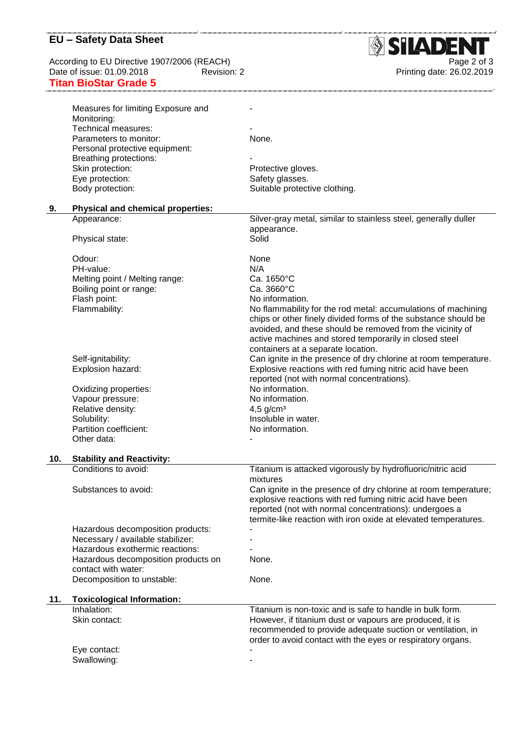# **EU – Safety Data Sheet**

According to EU Directive 1907/2006 (REACH)<br>Date of issue: 01.09.2018 Revision: 2 **Titan BioStar Grade 5**

.<br>1972 waa 2 maa 2 maa 2 maa 2 maa 2 maa 2 maa 2 maa 2 maa 2 maa 2 maa 2 maa 200



.<br>Santa canta como canto canta canta canta canta canta canta canta canta canta canta canta canta c

|     | Measures for limiting Exposure and                       |                                                                 |
|-----|----------------------------------------------------------|-----------------------------------------------------------------|
|     | Monitoring:                                              |                                                                 |
|     | Technical measures:                                      |                                                                 |
|     | Parameters to monitor:                                   | None.                                                           |
|     | Personal protective equipment:                           |                                                                 |
|     | Breathing protections:                                   |                                                                 |
|     |                                                          |                                                                 |
|     | Skin protection:                                         | Protective gloves.                                              |
|     | Eye protection:                                          | Safety glasses.                                                 |
|     | Body protection:                                         | Suitable protective clothing.                                   |
|     |                                                          |                                                                 |
| 9.  | <b>Physical and chemical properties:</b>                 |                                                                 |
|     | Appearance:                                              | Silver-gray metal, similar to stainless steel, generally duller |
|     |                                                          | appearance.                                                     |
|     | Physical state:                                          | Solid                                                           |
|     |                                                          |                                                                 |
|     | Odour:                                                   | None                                                            |
|     | PH-value:                                                | N/A                                                             |
|     | Melting point / Melting range:                           | Ca. 1650°C                                                      |
|     | Boiling point or range:                                  | Ca. 3660°C                                                      |
|     | Flash point:                                             | No information.                                                 |
|     | Flammability:                                            | No flammability for the rod metal: accumulations of machining   |
|     |                                                          | chips or other finely divided forms of the substance should be  |
|     |                                                          | avoided, and these should be removed from the vicinity of       |
|     |                                                          | active machines and stored temporarily in closed steel          |
|     |                                                          | containers at a separate location.                              |
|     | Self-ignitability:                                       | Can ignite in the presence of dry chlorine at room temperature. |
|     | Explosion hazard:                                        | Explosive reactions with red fuming nitric acid have been       |
|     |                                                          | reported (not with normal concentrations).                      |
|     |                                                          |                                                                 |
|     | Oxidizing properties:                                    | No information.                                                 |
|     | Vapour pressure:                                         | No information.                                                 |
|     | Relative density:                                        | 4,5 $g/cm3$                                                     |
|     | Solubility:                                              | Insoluble in water.                                             |
|     | Partition coefficient:                                   | No information.                                                 |
|     | Other data:                                              |                                                                 |
|     |                                                          |                                                                 |
| 10. | <b>Stability and Reactivity:</b><br>Conditions to avoid: | Titanium is attacked vigorously by hydrofluoric/nitric acid     |
|     |                                                          |                                                                 |
|     |                                                          | mixtures                                                        |
|     | Substances to avoid:                                     | Can ignite in the presence of dry chlorine at room temperature; |
|     |                                                          | explosive reactions with red fuming nitric acid have been       |
|     |                                                          | reported (not with normal concentrations): undergoes a          |
|     |                                                          | termite-like reaction with iron oxide at elevated temperatures. |
|     | Hazardous decomposition products:                        |                                                                 |
|     | Necessary / available stabilizer:                        |                                                                 |
|     | Hazardous exothermic reactions:                          |                                                                 |
|     | Hazardous decomposition products on                      | None.                                                           |
|     | contact with water:                                      |                                                                 |
|     | Decomposition to unstable:                               | None.                                                           |
|     |                                                          |                                                                 |
| 11. | <b>Toxicological Information:</b>                        |                                                                 |
|     | Inhalation:                                              | Titanium is non-toxic and is safe to handle in bulk form.       |
|     | Skin contact:                                            | However, if titanium dust or vapours are produced, it is        |
|     |                                                          | recommended to provide adequate suction or ventilation, in      |
|     |                                                          | order to avoid contact with the eyes or respiratory organs.     |
|     | Eye contact:                                             |                                                                 |
|     | Swallowing:                                              |                                                                 |